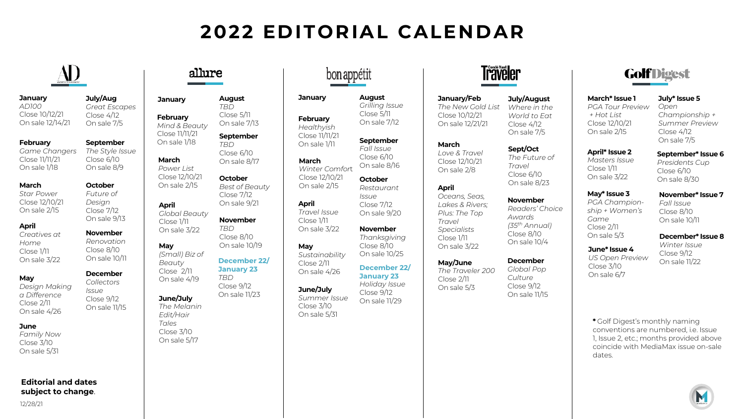# **2022 EDITORIAL CALENDAR**

**August** *Grilling Issue* Close 5/11 On sale 7/12

**September**  *Fall Issue* Close 6/10 On sale 8/16 **October**

# AD

**July/Aug**  *Great Escapes*  $C<sub>loss</sub> 4/12$ On sale 7/5

**September**  *The Style Issue* Close 6/10 On sale 8/9

**October**  *Future of Design* Close 7/12 On sale 9/13 **November** *Renovation* Close 8/10 On sale 10/11

## **January**

*AD100* Close 10/12/21 On sale 12/14/21

### **February**

*Game Changers*  Close 11/11/21 On sale 1/18

# **March**

*Star Power* Close 12/10/21 On sale 2/15

# **April**

*Creatives at Home* Close 1/11 On sale 3/22

### **December**  *Collectors*

*Issue* Close 9/12 On sale 11/15

**May** *Design Making a Difference* Close 2/11 On sale 4/26

# **June**

*Family Now* Close 3/10 On sale 5/31

# **Editorial and dates subject to change**.

12/28/21

# allure

**January February**  *Mind & Beauty*  Close 11/11/21 On sale 1/18 *Power List*  Close 12/10/21 On sale 2/15 *Global Beauty*  **August** *TBD* Close 5/11 On sale 7/13 **September** *TBD* Close 6/10 On sale 8/17 **October** *Best of Beauty*  Close 7/12 On sale 9/21

## **November** *TBD* Close 8/10 On sale 10/19

*(Small) Biz of*  On sale 4/19 **December 22/ January 23** *TBD* Close 9/12 On sale 11/23

# **June/July**

**March**

**April**

**May**

*Beauty* Close 2/11

Close 1/11 On sale 3/22

*The Melanin Edit/Hair Tales*  Close 3/10 On sale 5/17

# bon appétit

**January February** *Healthyish* Close 11/11/21 On sale 1/11

**March** *Winter Comfor*t Close 12/10/21

**April**

**May**

Close 1/11 On sale 3/22

Close 2/11

On sale 2/15 *Travel Issue Restaurant Issue* Close 7/12 On sale 9/20

*Sustainability* **November** *Thanksgiving* Close 8/10 On sale 10/25

On sale 4/26 **December 22/ January 23** 

**June/July**  *Summer Issue* Close 3/10 On sale 5/31 *Holiday Issue* Close 9/12 On sale 11/29



# **January/Feb**  *The New Gold List*  Close 10/12/21 On sale 12/21/21

**March** *Love & Travel* Close 12/10/21 On sale 2/8

### **April** *Oceans, Seas, Lakes & Rivers; Plus: The Top Travel Specialists*  Close 1/11 On sale 3/22

**May/June**  *The Traveler 200* Close 2/11 On sale 5/3

**July/August** *Where in the World to Eat* Close 4/12 On sale 7/5

## **Sept/Oct**  *The Future of Travel*

Close 6/10 On sale 8/23

**November** *Readers' Choice Awards (35th Annual)* Close 8/10 On sale 10/4

**December** 

*Culture*  Close 9/12 On sale 11/15

*Global Pop* 

Close 3/10 On sale 6/7

*Game* Close 2/11 On sale 5/3

**GolfDigest** 

**July\* Issue 5**

**March\* Issue 1** *PGA Tour Preview + Hot List* Close 12/10/21 On sale 2/15

*Open Championship + Summer Preview* Close 4/12 On sale 7/5

**April\* Issue 2** *Masters Issue*  Close 1/11 On sale 3/22 **September\* Issue 6**

*Presidents Cup*  Close 6/10 On sale 8/30

#### **May\* Issue 3 November\* Issue 7**

*PGA Championship + Women's Fall Issue* Close 8/10 On sale 10/11

> **December\* Issue 8**  *Winter Issue*

**June\* Issue 4** *US Open Preview* Close 9/12 On sale 11/22

**\*** Golf Digest's monthly naming conventions are numbered, i.e. Issue 1, Issue 2, etc.; months provided above coincide with MediaMax issue on-sale dates.

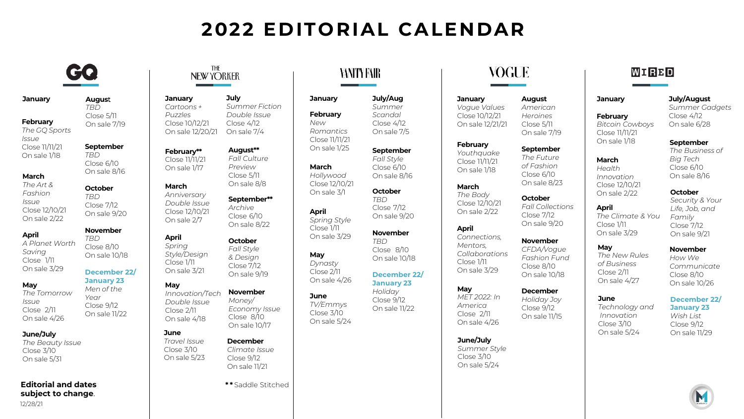# **2022 EDITORIAL CALENDAR**

# GQ

**Augus**t *TBD* Close 5/11 On sale 7/19

**September** *TBD* Close 6/10 On sale 8/16

**November**  *TBD* Close 8/10 On sale 10/18

**December 22/ January 23**  *Men of the Year*  Close 9/12 On sale 11/22

## **January**

**February** *The GQ Sports Issue* Close 11/11/21 On sale 1/18

# **March**

*The Art & Fashion Issue* Close 12/10/21 On sale 2/22 **October**  *TBD* Close 7/12 On sale 9/20

# **April**

*A Planet Worth Saving* Close 1/11 On sale 3/29

# **May**

*The Tomorrow Issue* Close 2/11 On sale 4/26

# **June/July**

*The Beauty Issue*  Close 3/10 On sale 5/31

## 12/28/21 **Editorial and dates subject to change**.

# THE **NEW YORKER**

**January**  *Cartoons + Puzzles* Close 10/12/21 On sale 12/20/21 **July** *Summer Fiction Double Issue*  Close 4/12 On sale 7/4

**February\*\*** Close 11/11/21 On sale 1/17 **August\*\*** *Fall Culture Preview*  Close 5/11

**March**

**April** *Spring* 

**May**

**June** 

Close 3/10

On sale 2/7

#### *Anniversary Double Issue*  Close 12/10/21 **September\*\*** *Archive* Close 6/10 On sale 8/22

On sale 8/8

*Style/Design* Close 1/11 On sale 3/21 **October**  *Fall Style & Design*  Close 7/12 On sale 9/19

#### *Innovation/Tech Double Issue* Close 2/11 On sale 4/18 **November**  *Money/ Economy Issue* Close 8/10 On sale 10/17

*Travel Issue* On sale 5/23 **December**  *Climate Issue*  Close 9/12 On sale 11/21

**\* \*** Saddle Stitched

# VANITY FAIR

#### **January February** *Romantics*  Close 11/11/21 **July/Aug**  *Summer Scandal* Close 4/12 On sale 7/5

*New* 

**March**  *Hollywood*  Close 12/10/21 On sale 3/1

**April** *Spring Style* Close 1/11 On sale 3/29

**May** *Dynasty* Close 2/11 On sale 4/26

**June** *TV/Emmys* Close 3/10 On sale 5/24

On sale 1/25

**September**  *Fall Style* Close 6/10 On sale 8/16

**October**  *TBD* Close 7/12 On sale 9/20

**November**  *TBD* Close 8/10 On sale 10/18

**December 22/ January 23**  *Holiday* Close 9/12 On sale 11/22

*Collaborations* Close 1/11 On sale 3/29

**May**  *MET 2022: In America*  Close 2/11 On sale 4/26

**June/July**  *Summer Style* Close 3/10 On sale 5/24

# VOGUE

**August** *American Heroines* Close 5/11 On sale 7/19

**September**  *The Future of Fashion* Close 6/10

**January**  *Vogue Values*  Close 10/12/21 On sale 12/21/21

**February**  *Youthquake* Close 11/11/21 On sale 1/18

> On sale 8/23 **October**  *Fall Collections* Close 7/12 On sale 9/20

**November** 

*CFDA/Vogue Fashion Fund* Close 8/10 On sale 10/18

### **December**  *Holiday Joy*

Close 9/12 On sale 11/15

# **January**

WIRBD

**February**  *Bitcoin Cowboys* Close 11/11/21

**April**

**May**

**June**

On sale 5/24

Close 1/11

On sale 1/18

**March** *Health Innovation* Close 12/10/21

On sale 2/22 *The Climate & You* On sale 3/29 **October** *Security & Your Life, Job, and Family* Close 7/12 On sale 9/21

**November** 

**July/August** *Summer Gadgets*

Close 4/12 On sale 6/28

**September**  *The Business of Big Tech* Close 6/10 On sale 8/16

*The New Rules of Business* Close 2/11 On sale 4/27 *How We Communicate* Close 8/10 On sale 10/26

*Technology and Innovation* Close 3/10 **December 22/**

**January 23**  *Wish List* Close 9/12 On sale 11/29

M

**March** *The Body* Close 12/10/21 On sale 2/22 **April** *Connections, Mentors,*